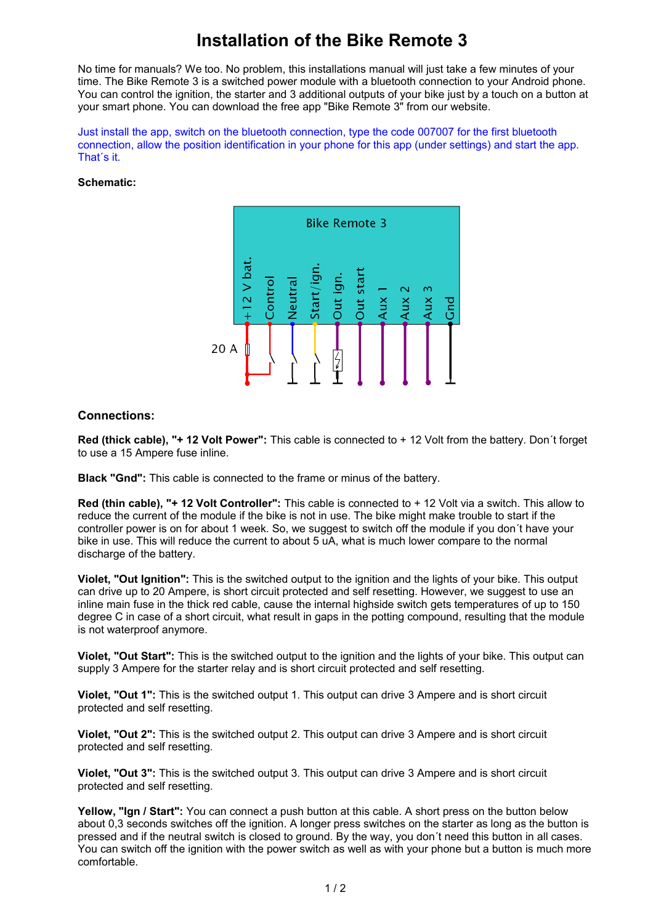## **Installation of the Bike Remote 3**

No time for manuals? We too. No problem, this installations manual will just take a few minutes of your time. The Bike Remote 3 is a switched power module with a bluetooth connection to your Android phone. You can control the ignition, the starter and 3 additional outputs of your bike just by a touch on a button at your smart phone. You can download the free app "Bike Remote 3" from our website.

Just install the app, switch on the bluetooth connection, type the code 007007 for the first bluetooth connection, allow the position identification in your phone for this app (under settings) and start the app. That´s it.

## **Schematic:**



## **Connections:**

**Red (thick cable), "+ 12 Volt Power":** This cable is connected to + 12 Volt from the battery. Don´t forget to use a 15 Ampere fuse inline.

**Black "Gnd":** This cable is connected to the frame or minus of the battery.

**Red (thin cable), "+ 12 Volt Controller":** This cable is connected to + 12 Volt via a switch. This allow to reduce the current of the module if the bike is not in use. The bike might make trouble to start if the controller power is on for about 1 week. So, we suggest to switch off the module if you don´t have your bike in use. This will reduce the current to about 5 uA, what is much lower compare to the normal discharge of the battery.

**Violet, "Out Ignition":** This is the switched output to the ignition and the lights of your bike. This output can drive up to 20 Ampere, is short circuit protected and self resetting. However, we suggest to use an inline main fuse in the thick red cable, cause the internal highside switch gets temperatures of up to 150 degree C in case of a short circuit, what result in gaps in the potting compound, resulting that the module is not waterproof anymore.

**Violet. "Out Start":** This is the switched output to the ignition and the lights of your bike. This output can supply 3 Ampere for the starter relay and is short circuit protected and self resetting.

**Violet, "Out 1":** This is the switched output 1. This output can drive 3 Ampere and is short circuit protected and self resetting.

**Violet, "Out 2":** This is the switched output 2. This output can drive 3 Ampere and is short circuit protected and self resetting.

**Violet, "Out 3":** This is the switched output 3. This output can drive 3 Ampere and is short circuit protected and self resetting.

**Yellow, "Ign / Start":** You can connect a push button at this cable. A short press on the button below about 0,3 seconds switches off the ignition. A longer press switches on the starter as long as the button is pressed and if the neutral switch is closed to ground. By the way, you don´t need this button in all cases. You can switch off the ignition with the power switch as well as with your phone but a button is much more comfortable.